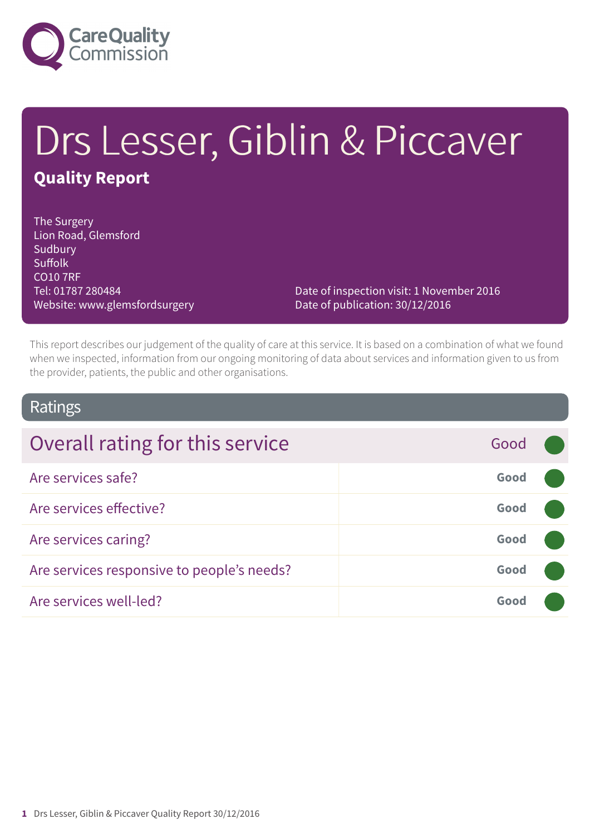

# Drs Lesser, Giblin & Piccaver

### **Quality Report**

The Surgery Lion Road, Glemsford Sudbury Suffolk CO10 7RF Tel: 01787 280484 Website: www.glemsfordsurgery

Date of inspection visit: 1 November 2016 Date of publication: 30/12/2016

This report describes our judgement of the quality of care at this service. It is based on a combination of what we found when we inspected, information from our ongoing monitoring of data about services and information given to us from the provider, patients, the public and other organisations.

### Ratings

| Overall rating for this service            | Good |  |
|--------------------------------------------|------|--|
| Are services safe?                         | Good |  |
| Are services effective?                    | Good |  |
| Are services caring?                       | Good |  |
| Are services responsive to people's needs? | Good |  |
| Are services well-led?                     | Good |  |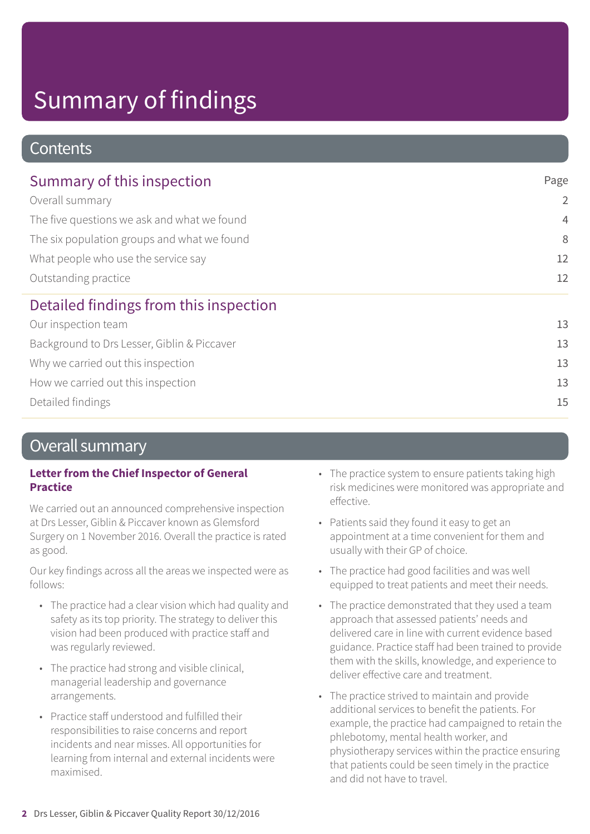### **Contents**

| Summary of this inspection                                                                                                                                                   | Page           |
|------------------------------------------------------------------------------------------------------------------------------------------------------------------------------|----------------|
| Overall summary<br>The five questions we ask and what we found<br>The six population groups and what we found<br>What people who use the service say<br>Outstanding practice | $\overline{2}$ |
|                                                                                                                                                                              | $\overline{4}$ |
|                                                                                                                                                                              | 8              |
|                                                                                                                                                                              | 12             |
|                                                                                                                                                                              | 12             |
| Detailed findings from this inspection                                                                                                                                       |                |
| Our inspection team                                                                                                                                                          | 13             |
| Background to Drs Lesser, Giblin & Piccaver                                                                                                                                  | 13             |
| Why we carried out this inspection                                                                                                                                           | 13             |
| How we carried out this inspection                                                                                                                                           | 13             |
| Detailed findings                                                                                                                                                            | 15             |

### Overall summary

#### **Letter from the Chief Inspector of General Practice**

We carried out an announced comprehensive inspection at Drs Lesser, Giblin & Piccaver known as Glemsford Surgery on 1 November 2016. Overall the practice is rated as good.

Our key findings across all the areas we inspected were as follows:

- The practice had a clear vision which had quality and safety as its top priority. The strategy to deliver this vision had been produced with practice staff and was regularly reviewed.
- The practice had strong and visible clinical, managerial leadership and governance arrangements.
- Practice staff understood and fulfilled their responsibilities to raise concerns and report incidents and near misses. All opportunities for learning from internal and external incidents were maximised.
- The practice system to ensure patients taking high risk medicines were monitored was appropriate and effective.
- Patients said they found it easy to get an appointment at a time convenient for them and usually with their GP of choice.
- The practice had good facilities and was well equipped to treat patients and meet their needs.
- The practice demonstrated that they used a team approach that assessed patients' needs and delivered care in line with current evidence based guidance. Practice staff had been trained to provide them with the skills, knowledge, and experience to deliver effective care and treatment.
- The practice strived to maintain and provide additional services to benefit the patients. For example, the practice had campaigned to retain the phlebotomy, mental health worker, and physiotherapy services within the practice ensuring that patients could be seen timely in the practice and did not have to travel.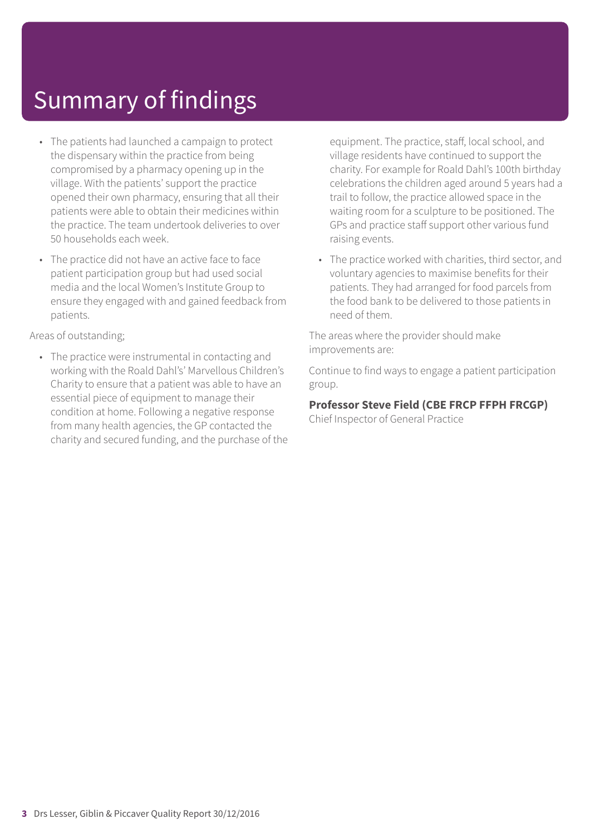- The patients had launched a campaign to protect the dispensary within the practice from being compromised by a pharmacy opening up in the village. With the patients' support the practice opened their own pharmacy, ensuring that all their patients were able to obtain their medicines within the practice. The team undertook deliveries to over 50 households each week.
- The practice did not have an active face to face patient participation group but had used social media and the local Women's Institute Group to ensure they engaged with and gained feedback from patients.

Areas of outstanding;

• The practice were instrumental in contacting and working with the Roald Dahl's' Marvellous Children's Charity to ensure that a patient was able to have an essential piece of equipment to manage their condition at home. Following a negative response from many health agencies, the GP contacted the charity and secured funding, and the purchase of the

equipment. The practice, staff, local school, and village residents have continued to support the charity. For example for Roald Dahl's 100th birthday celebrations the children aged around 5 years had a trail to follow, the practice allowed space in the waiting room for a sculpture to be positioned. The GPs and practice staff support other various fund raising events.

• The practice worked with charities, third sector, and voluntary agencies to maximise benefits for their patients. They had arranged for food parcels from the food bank to be delivered to those patients in need of them.

The areas where the provider should make improvements are:

Continue to find ways to engage a patient participation group.

**Professor Steve Field (CBE FRCP FFPH FRCGP)** Chief Inspector of General Practice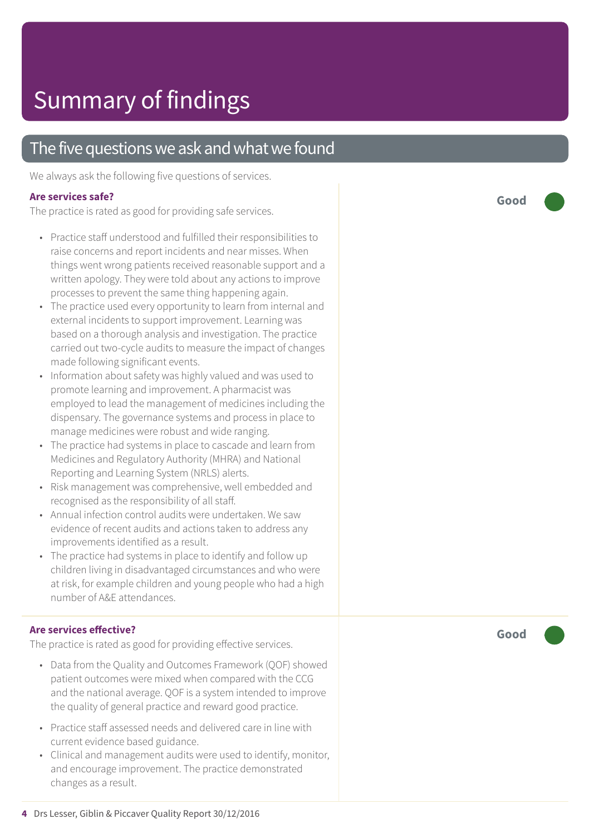### The five questions we ask and what we found

We always ask the following five questions of services.

#### **Are services safe?**

The practice is rated as good for providing safe services.

- Practice staff understood and fulfilled their responsibilities to raise concerns and report incidents and near misses. When things went wrong patients received reasonable support and a written apology. They were told about any actions to improve processes to prevent the same thing happening again.
- The practice used every opportunity to learn from internal and external incidents to support improvement. Learning was based on a thorough analysis and investigation. The practice carried out two-cycle audits to measure the impact of changes made following significant events.
- Information about safety was highly valued and was used to promote learning and improvement. A pharmacist was employed to lead the management of medicines including the dispensary. The governance systems and process in place to manage medicines were robust and wide ranging.
- The practice had systems in place to cascade and learn from Medicines and Regulatory Authority (MHRA) and National Reporting and Learning System (NRLS) alerts.
- Risk management was comprehensive, well embedded and recognised as the responsibility of all staff.
- Annual infection control audits were undertaken. We saw evidence of recent audits and actions taken to address any improvements identified as a result.
- The practice had systems in place to identify and follow up children living in disadvantaged circumstances and who were at risk, for example children and young people who had a high number of A&E attendances.

#### **Are services effective?**

The practice is rated as good for providing effective services.

- Data from the Quality and Outcomes Framework (QOF) showed patient outcomes were mixed when compared with the CCG and the national average. QOF is a system intended to improve the quality of general practice and reward good practice.
- Practice staff assessed needs and delivered care in line with current evidence based guidance.
- Clinical and management audits were used to identify, monitor, and encourage improvement. The practice demonstrated changes as a result.

**Good –––**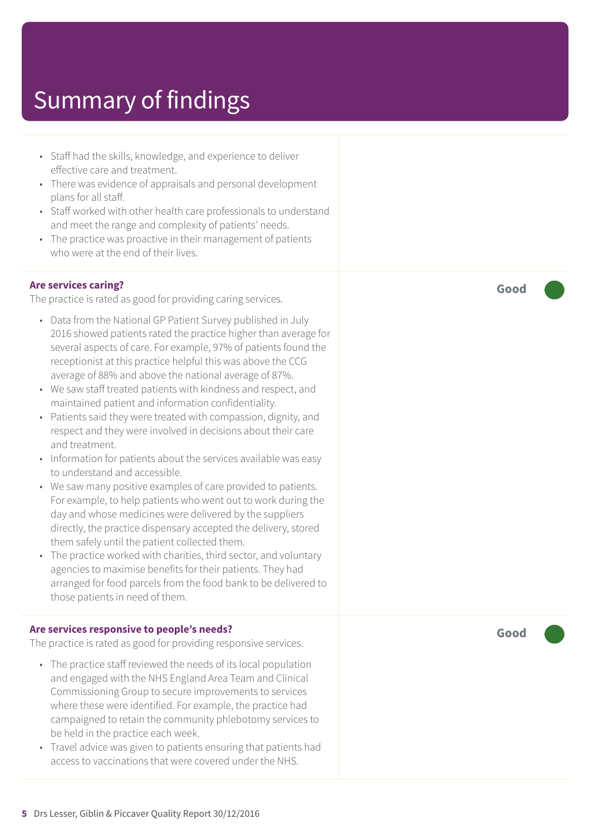- Staff had the skills, knowledge, and experience to deliver effective care and treatment.
- There was evidence of appraisals and personal development plans for all staff.
- Staff worked with other health care professionals to understand and meet the range and complexity of patients' needs.
- The practice was proactive in their management of patients who were at the end of their lives.

#### **Are services caring?**

The practice is rated as good for providing caring services.

- Data from the National GP Patient Survey published in July 2016 showed patients rated the practice higher than average for several aspects of care. For example, 97% of patients found the receptionist at this practice helpful this was above the CCG average of 88% and above the national average of 87%.
- We saw staff treated patients with kindness and respect, and maintained patient and information confidentiality.
- Patients said they were treated with compassion, dignity, and respect and they were involved in decisions about their care and treatment.
- Information for patients about the services available was easy to understand and accessible.
- We saw many positive examples of care provided to patients. For example, to help patients who went out to work during the day and whose medicines were delivered by the suppliers directly, the practice dispensary accepted the delivery, stored them safely until the patient collected them.
- The practice worked with charities, third sector, and voluntary agencies to maximise benefits for their patients. They had arranged for food parcels from the food bank to be delivered to those patients in need of them.

#### **Are services responsive to people's needs?**

The practice is rated as good for providing responsive services.

- The practice staff reviewed the needs of its local population and engaged with the NHS England Area Team and Clinical Commissioning Group to secure improvements to services where these were identified. For example, the practice had campaigned to retain the community phlebotomy services to be held in the practice each week.
- Travel advice was given to patients ensuring that patients had access to vaccinations that were covered under the NHS.

**Good –––**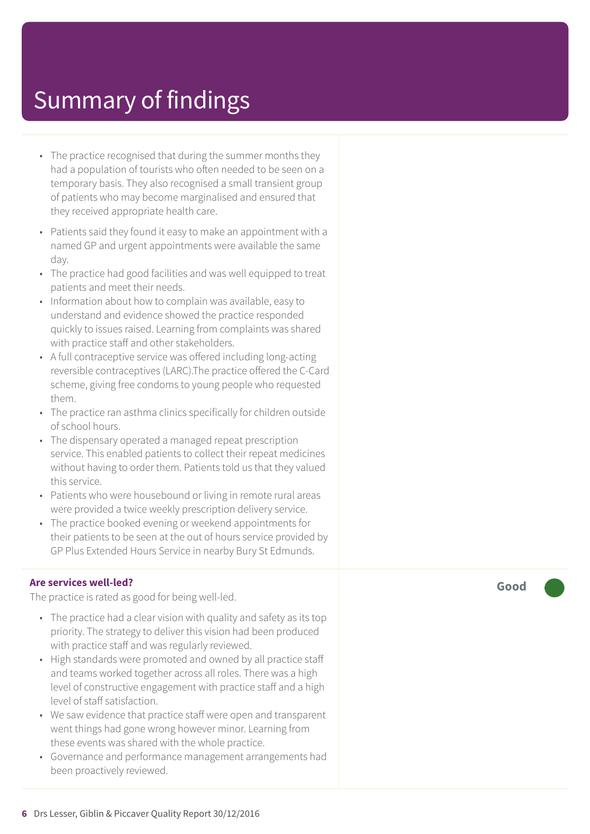- The practice recognised that during the summer months they had a population of tourists who often needed to be seen on a temporar y basis. The y also recognised a small transient group of patients who may become marginalised and ensured that the y received appropriat e health care.
- Patients said they found it easy to make an appointment with a named GP and ur gent appointments wer e available the same day.
- The practice had good facilities and was well equipped to treat patients and mee t their needs.
- Information about how to complain was available, easy to understand and evidence showed the practice responded quickly t o issues raised. L earning from complaints was shared with practic e staff and other stakeholders.
- A full contraceptive service was offered including long-acting r eversible contraceptives (LARC).The practic e offered the C-Car d scheme, giving free condoms t o young people who requested them.
- The practice ran asthma clinics specifically for children outside of school hours.
- The dispensar y operated a managed repeat prescription service. This enabled patients to collect their repeat medicines without having t o order them. Patients told us that the y valued this service.
- Patients who were housebound or living in remote rural areas wer e provided a twic e weekly prescription deliver y service.
- The practic e booked evening or weekend appointments for their patients to be seen at the out of hours service provided by GP Plus Extended Hour s Servic e in nearby Bur y St Edmunds.

#### **Ar e services well-led?**

The practic e is rated as good for being well-led.

- The practice had a clear vision with quality and safety as its top priority. The strat egy t o deliver this vision had been produced with practic e staff and was r egularly r eviewed.
- High standards wer e promoted and owned by all practic e staff and teams worked together across all roles. There was a high level of constructive engagement with practic e staff and a high level of staff satisfaction.
- We saw evidence that practice staff were open and transparent went things had gone wrong however minor. L earning from these events was shared with the whole practice.
- Governanc e and performanc e management arrangements had been pr oactively r eviewed.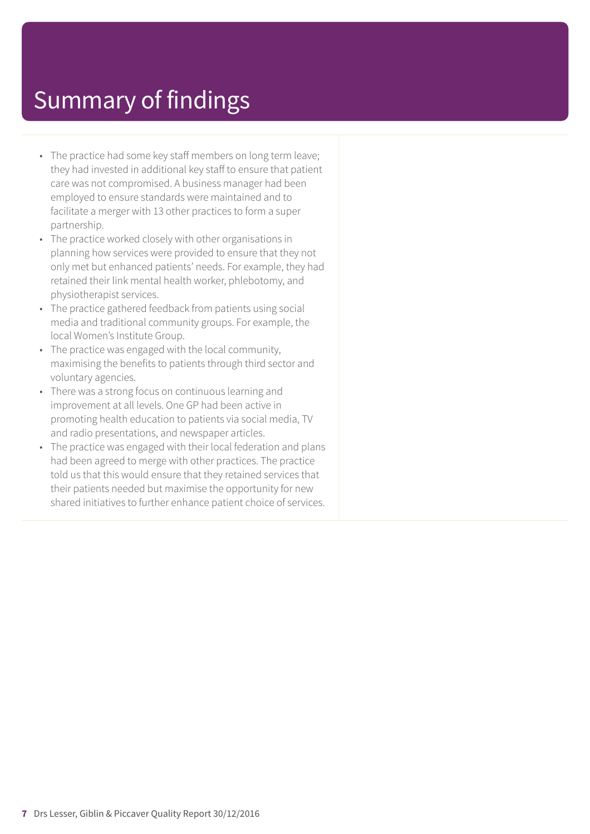- The practice had some key staff members on long term leave; they had invested in additional key staff to ensure that patient care was not compromised. A business manager had been employed to ensure standards were maintained and to facilitate a merger with 13 other practices to form a super partnership.
- The practice worked closely with other organisations in planning how services were provided to ensure that they not only met but enhanced patients' needs. For example, they had retained their link mental health worker, phlebotomy, and physiotherapist services.
- The practice gathered feedback from patients using social media and traditional community groups. For example, the local Women's Institute Group.
- The practice was engaged with the local community, maximising the benefits to patients through third sector and voluntary agencies.
- There was a strong focus on continuous learning and improvement at all levels. One GP had been active in promoting health education to patients via social media, TV and radio presentations, and newspaper articles.
- The practice was engaged with their local federation and plans had been agreed to merge with other practices. The practice told us that this would ensure that they retained services that their patients needed but maximise the opportunity for new shared initiatives to further enhance patient choice of services.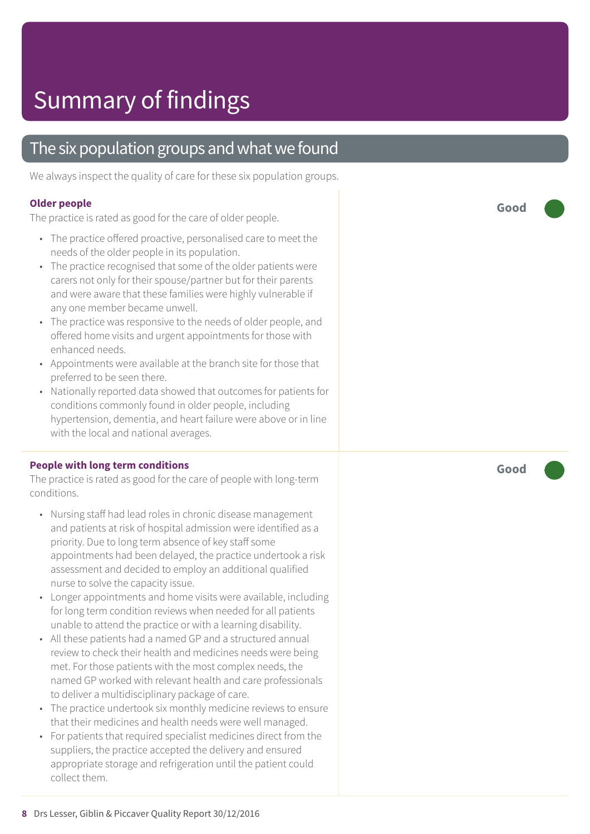### The six population groups and what we found

We always inspect the quality of care for these six population groups.

#### **Older people**

The practice is rated as good for the care of older people.

- The practice offered proactive, personalised care to meet the needs of the older people in its population.
- The practice recognised that some of the older patients were carers not only for their spouse/partner but for their parents and wer e awar e that these families wer e highly vulnerable if any one member became unwell.
- The practice was responsive to the needs of older people, and offered home visits and ur gent appointments for those with enhanced needs.
- Appointments wer e available at the branch sit e for those that preferred t o be seen there.
- Nationally reported dat a showed that out comes for patients for conditions commonly found in older people, including hypertension, dementia, and heart failur e wer e above or in line with the local and national averages.

#### **People with long term conditions**

The practice is rated as good for the care of people with long-term conditions.

- Nursing staff had lead roles in chronic disease management and patients at risk of hospital admission wer e identified as a priority. Due to long term absence of key staff some appointments had been delayed, the practic e undertook a risk assessment and decided t o employ an additional qualified nurse t o solve the capacity issue.
- Longer appointments and home visits wer e available, including for long term condition reviews when needed for all patients unable t o attend the practic e or with a learning disability.
- All these patients had a named GP and a structured annual review to check their health and medicines needs were being me t. For those patients with the most complex needs, the named GP worked with rele vant health and car e professionals t o deliver a multidisciplinar y packag e of care.
- The practice undertook six monthly medicine reviews to ensure that their medicines and health needs wer e well managed.
- For patients that required specialist medicines direct from the suppliers, the practic e ac cepted the deliver y and ensured appropriat e storag e and refrigeration until the patient could collect them.

**Good –––**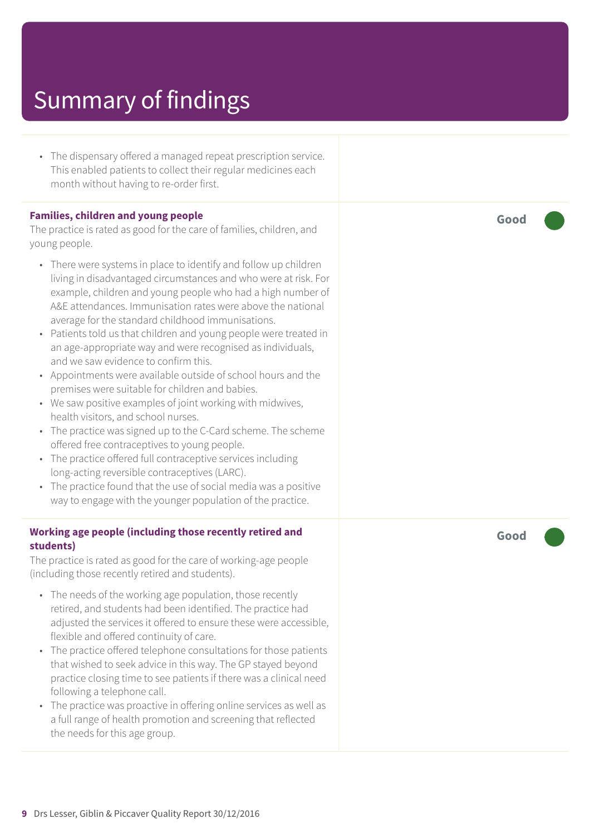• The dispensary offered a managed repeat prescription service. This enabled patients to collect their regular medicines each month without having to re-order first.

#### **Families, children and young people**

The practice is rated as good for the care of families, children, and young people.

- There were systems in place to identify and follow up children living in disadvantaged circumstances and who were at risk. For example, children and young people who had a high number of A&E attendances. Immunisation rates were above the national average for the standard childhood immunisations.
- Patients told us that children and young people were treated in an age-appropriate way and were recognised as individuals, and we saw evidence to confirm this.
- Appointments were available outside of school hours and the premises were suitable for children and babies.
- We saw positive examples of joint working with midwives, health visitors, and school nurses.
- The practice was signed up to the C-Card scheme. The scheme offered free contraceptives to young people.
- The practice offered full contraceptive services including long-acting reversible contraceptives (LARC).
- The practice found that the use of social media was a positive way to engage with the younger population of the practice.

#### **Working age people (including those recently retired and students)**

The practice is rated as good for the care of working-age people (including those recently retired and students).

- The needs of the working age population, those recently retired, and students had been identified. The practice had adjusted the services it offered to ensure these were accessible, flexible and offered continuity of care.
- The practice offered telephone consultations for those patients that wished to seek advice in this way. The GP stayed beyond practice closing time to see patients if there was a clinical need following a telephone call.
- The practice was proactive in offering online services as well as a full range of health promotion and screening that reflected the needs for this age group.

**Good –––**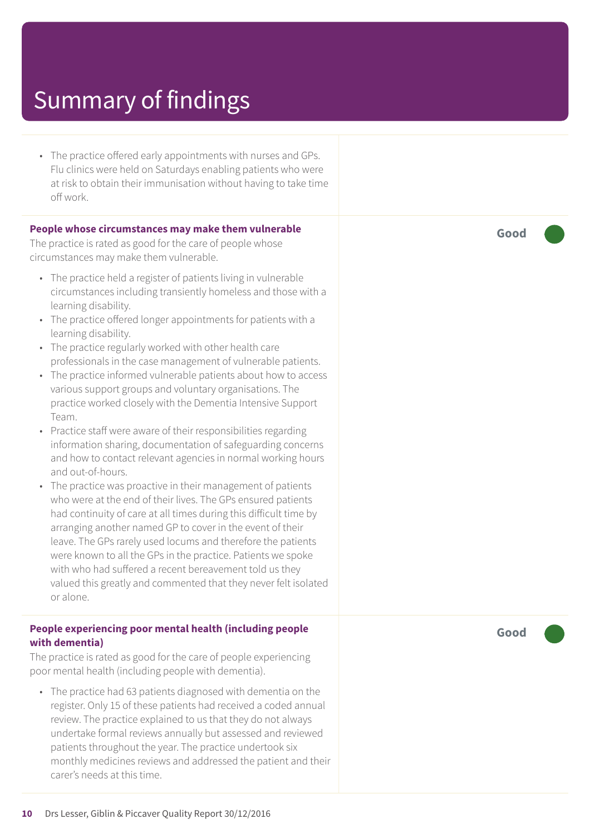• The practice offered early appointments with nurses and GPs. Flu clinics were held on Saturdays enabling patients who were at risk to obtain their immunisation without having to take time off work.

#### **People whose circumstances may make them vulnerable**

The practice is rated as good for the care of people whose circumstances may make them vulnerable.

- The practice held a register of patients living in vulnerable circumstances including transiently homeless and those with a learning disability.
- The practice offered longer appointments for patients with a learning disability.
- The practice regularly worked with other health care professionals in the case management of vulnerable patients.
- The practice informed vulnerable patients about how to access various support groups and voluntary organisations. The practice worked closely with the Dementia Intensive Support Team.
- Practice staff were aware of their responsibilities regarding information sharing, documentation of safeguarding concerns and how to contact relevant agencies in normal working hours and out-of-hours.
- The practice was proactive in their management of patients who were at the end of their lives. The GPs ensured patients had continuity of care at all times during this difficult time by arranging another named GP to cover in the event of their leave. The GPs rarely used locums and therefore the patients were known to all the GPs in the practice. Patients we spoke with who had suffered a recent bereavement told us they valued this greatly and commented that they never felt isolated or alone.

#### **People experiencing poor mental health (including people with dementia)**

The practice is rated as good for the care of people experiencing poor mental health (including people with dementia).

• The practice had 63 patients diagnosed with dementia on the register. Only 15 of these patients had received a coded annual review. The practice explained to us that they do not always undertake formal reviews annually but assessed and reviewed patients throughout the year. The practice undertook six monthly medicines reviews and addressed the patient and their carer's needs at this time.

**Good –––**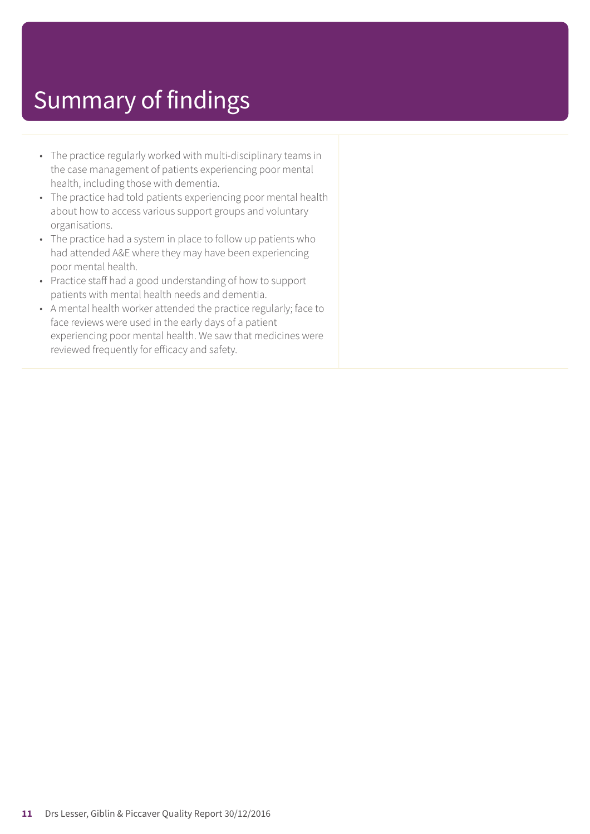- The practice regularly worked with multi-disciplinary teams in the case management of patients experiencing poor mental health, including those with dementia.
- The practice had told patients experiencing poor mental health about how to access various support groups and voluntary organisations.
- The practice had a system in place to follow up patients who had attended A&E where they may have been experiencing poor mental health.
- Practice staff had a good understanding of how to support patients with mental health needs and dementia.
- A mental health worker attended the practice regularly; face to face reviews were used in the early days of a patient experiencing poor mental health. We saw that medicines were reviewed frequently for efficacy and safety.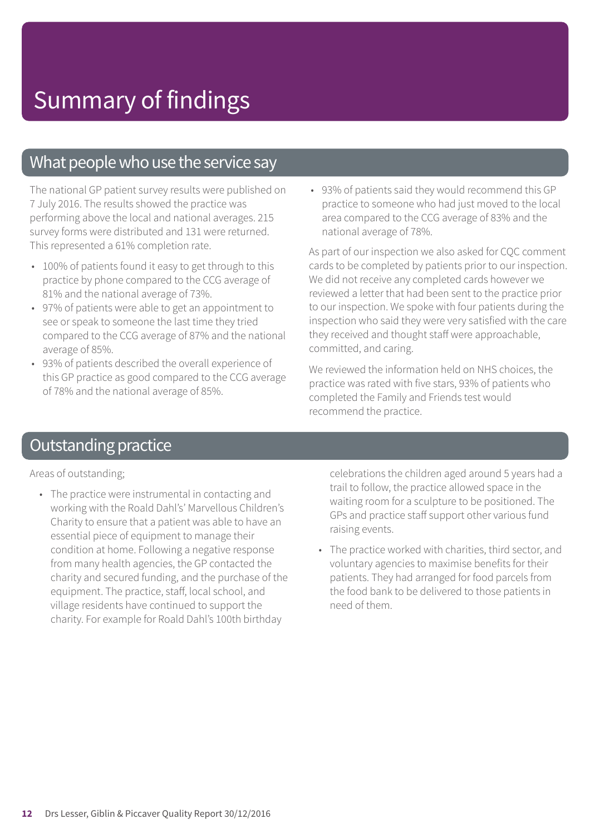### What people who use the service say

The national GP patient survey results were published on 7 July 2016. The results showed the practice was performing above the local and national averages. 215 survey forms were distributed and 131 were returned. This represented a 61% completion rate.

- 100% of patients found it easy to get through to this practice by phone compared to the CCG average of 81% and the national average of 73%.
- 97% of patients were able to get an appointment to see or speak to someone the last time they tried compared to the CCG average of 87% and the national average of 85%.
- 93% of patients described the overall experience of this GP practice as good compared to the CCG average of 78% and the national average of 85%.

• 93% of patients said they would recommend this GP practice to someone who had just moved to the local area compared to the CCG average of 83% and the national average of 78%.

As part of our inspection we also asked for CQC comment cards to be completed by patients prior to our inspection. We did not receive any completed cards however we reviewed a letter that had been sent to the practice prior to our inspection. We spoke with four patients during the inspection who said they were very satisfied with the care they received and thought staff were approachable, committed, and caring.

We reviewed the information held on NHS choices, the practice was rated with five stars, 93% of patients who completed the Family and Friends test would recommend the practice.

### **Outstanding practice**

Areas of outstanding;

• The practice were instrumental in contacting and working with the Roald Dahl's' Marvellous Children's Charity to ensure that a patient was able to have an essential piece of equipment to manage their condition at home. Following a negative response from many health agencies, the GP contacted the charity and secured funding, and the purchase of the equipment. The practice, staff, local school, and village residents have continued to support the charity. For example for Roald Dahl's 100th birthday

celebrations the children aged around 5 years had a trail to follow, the practice allowed space in the waiting room for a sculpture to be positioned. The GPs and practice staff support other various fund raising events.

• The practice worked with charities, third sector, and voluntary agencies to maximise benefits for their patients. They had arranged for food parcels from the food bank to be delivered to those patients in need of them.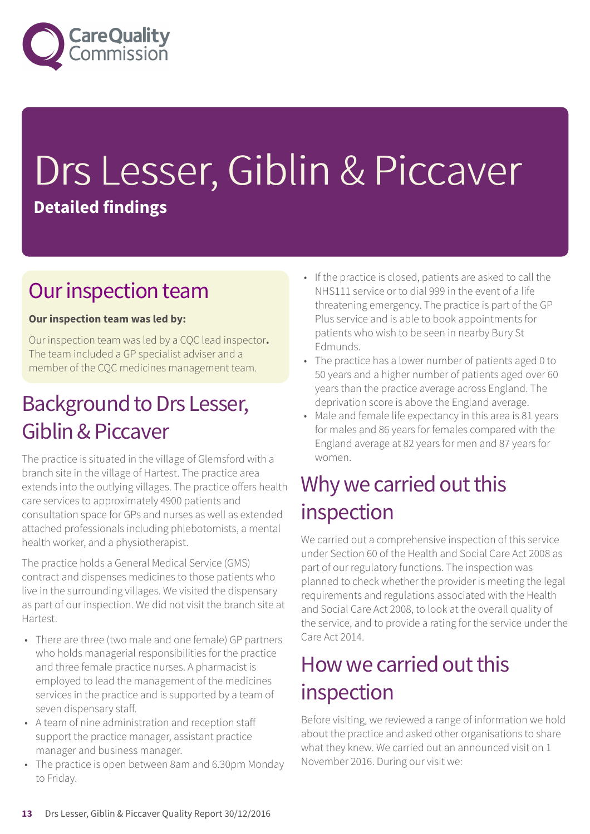

## Drs Lesser, Giblin & Piccaver **Detailed findings**

### Our inspection team

#### **Our inspection team was led by:**

Our inspection team was led by a CQC lead inspector**.** The team included a GP specialist adviser and a member of the CQC medicines management team.

### Background to Drs Lesser, Giblin&Piccaver

The practice is situated in the village of Glemsford with a branch site in the village of Hartest. The practice area extends into the outlying villages. The practice offers health care services to approximately 4900 patients and consultation space for GPs and nurses as well as extended attached professionals including phlebotomists, a mental health worker, and a physiotherapist.

The practice holds a General Medical Service (GMS) contract and dispenses medicines to those patients who live in the surrounding villages. We visited the dispensary as part of our inspection. We did not visit the branch site at Hartest.

- There are three (two male and one female) GP partners who holds managerial responsibilities for the practice and three female practice nurses. A pharmacist is employed to lead the management of the medicines services in the practice and is supported by a team of seven dispensary staff.
- A team of nine administration and reception staff support the practice manager, assistant practice manager and business manager.
- The practice is open between 8am and 6.30pm Monday to Friday.
- If the practice is closed, patients are asked to call the NHS111 service or to dial 999 in the event of a life threatening emergency. The practice is part of the GP Plus service and is able to book appointments for patients who wish to be seen in nearby Bury St Edmunds.
- The practice has a lower number of patients aged 0 to 50 years and a higher number of patients aged over 60 years than the practice average across England. The deprivation score is above the England average.
- Male and female life expectancy in this area is 81 years for males and 86 years for females compared with the England average at 82 years for men and 87 years for women.

### Why we carried out this inspection

We carried out a comprehensive inspection of this service under Section 60 of the Health and Social Care Act 2008 as part of our regulatory functions. The inspection was planned to check whether the provider is meeting the legal requirements and regulations associated with the Health and Social Care Act 2008, to look at the overall quality of the service, and to provide a rating for the service under the Care Act 2014.

### How we carried out this inspection

Before visiting, we reviewed a range of information we hold about the practice and asked other organisations to share what they knew. We carried out an announced visit on 1 November 2016. During our visit we: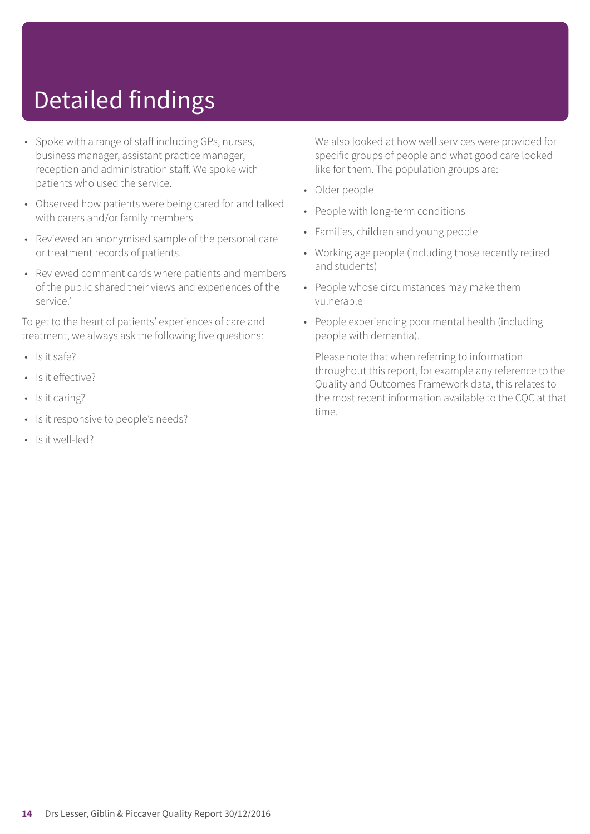## Detailed findings

- Spoke with a range of staff including GPs, nurses, business manager, assistant practice manager, reception and administration staff. We spoke with patients who used the service.
- Observed how patients were being cared for and talked with carers and/or family members
- Reviewed an anonymised sample of the personal care or treatment records of patients.
- Reviewed comment cards where patients and members of the public shared their views and experiences of the service.'

To get to the heart of patients' experiences of care and treatment, we always ask the following five questions:

- $\cdot$  Is it safe?
- Is it effective?
- Is it caring?
- Is it responsive to people's needs?
- Is it well-led?

We also looked at how well services were provided for specific groups of people and what good care looked like for them. The population groups are:

- Older people
- People with long-term conditions
- Families, children and young people
- Working age people (including those recently retired and students)
- People whose circumstances may make them vulnerable
- People experiencing poor mental health (including people with dementia).

Please note that when referring to information throughout this report, for example any reference to the Quality and Outcomes Framework data, this relates to the most recent information available to the CQC at that time.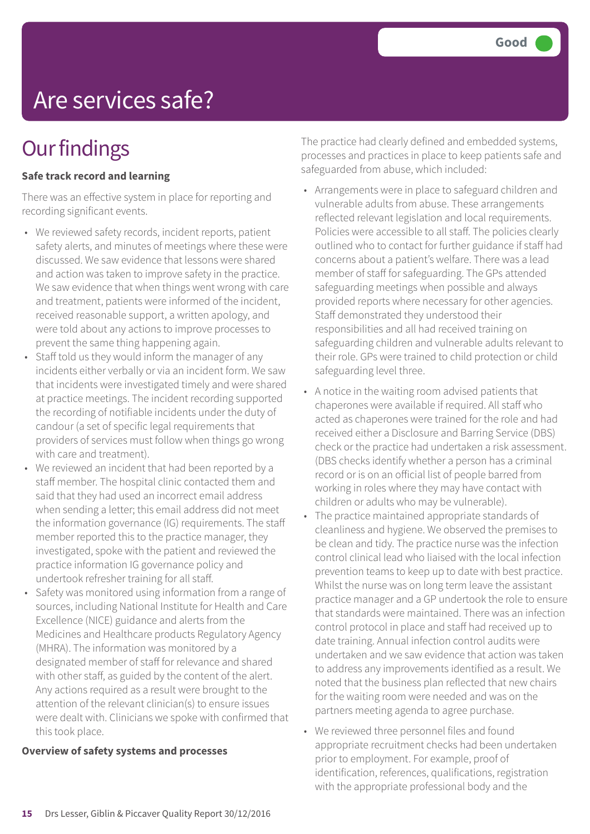## Are services safe?

### **Our findings**

#### **Safe track record and learning**

There was an effective system in place for reporting and recording significant events.

- We reviewed safety records, incident reports, patient safety alerts, and minutes of meetings where these were discussed. We saw evidence that lessons were shared and action was taken to improve safety in the practice. We saw evidence that when things went wrong with care and treatment, patients were informed of the incident, received reasonable support, a written apology, and were told about any actions to improve processes to prevent the same thing happening again.
- Staff told us they would inform the manager of any incidents either verbally or via an incident form. We saw that incidents were investigated timely and were shared at practice meetings. The incident recording supported the recording of notifiable incidents under the duty of candour (a set of specific legal requirements that providers of services must follow when things go wrong with care and treatment).
- We reviewed an incident that had been reported by a staff member. The hospital clinic contacted them and said that they had used an incorrect email address when sending a letter; this email address did not meet the information governance (IG) requirements. The staff member reported this to the practice manager, they investigated, spoke with the patient and reviewed the practice information IG governance policy and undertook refresher training for all staff.
- Safety was monitored using information from a range of sources, including National Institute for Health and Care Excellence (NICE) guidance and alerts from the Medicines and Healthcare products Regulatory Agency (MHRA). The information was monitored by a designated member of staff for relevance and shared with other staff, as guided by the content of the alert. Any actions required as a result were brought to the attention of the relevant clinician(s) to ensure issues were dealt with. Clinicians we spoke with confirmed that this took place.

#### **Overview of safety systems and processes**

The practice had clearly defined and embedded systems, processes and practices in place to keep patients safe and safeguarded from abuse, which included:

- Arrangements were in place to safeguard children and vulnerable adults from abuse. These arrangements reflected relevant legislation and local requirements. Policies were accessible to all staff. The policies clearly outlined who to contact for further guidance if staff had concerns about a patient's welfare. There was a lead member of staff for safeguarding. The GPs attended safeguarding meetings when possible and always provided reports where necessary for other agencies. Staff demonstrated they understood their responsibilities and all had received training on safeguarding children and vulnerable adults relevant to their role. GPs were trained to child protection or child safeguarding level three.
- A notice in the waiting room advised patients that chaperones were available if required. All staff who acted as chaperones were trained for the role and had received either a Disclosure and Barring Service (DBS) check or the practice had undertaken a risk assessment. (DBS checks identify whether a person has a criminal record or is on an official list of people barred from working in roles where they may have contact with children or adults who may be vulnerable).
- The practice maintained appropriate standards of cleanliness and hygiene. We observed the premises to be clean and tidy. The practice nurse was the infection control clinical lead who liaised with the local infection prevention teams to keep up to date with best practice. Whilst the nurse was on long term leave the assistant practice manager and a GP undertook the role to ensure that standards were maintained. There was an infection control protocol in place and staff had received up to date training. Annual infection control audits were undertaken and we saw evidence that action was taken to address any improvements identified as a result. We noted that the business plan reflected that new chairs for the waiting room were needed and was on the partners meeting agenda to agree purchase.
- We reviewed three personnel files and found appropriate recruitment checks had been undertaken prior to employment. For example, proof of identification, references, qualifications, registration with the appropriate professional body and the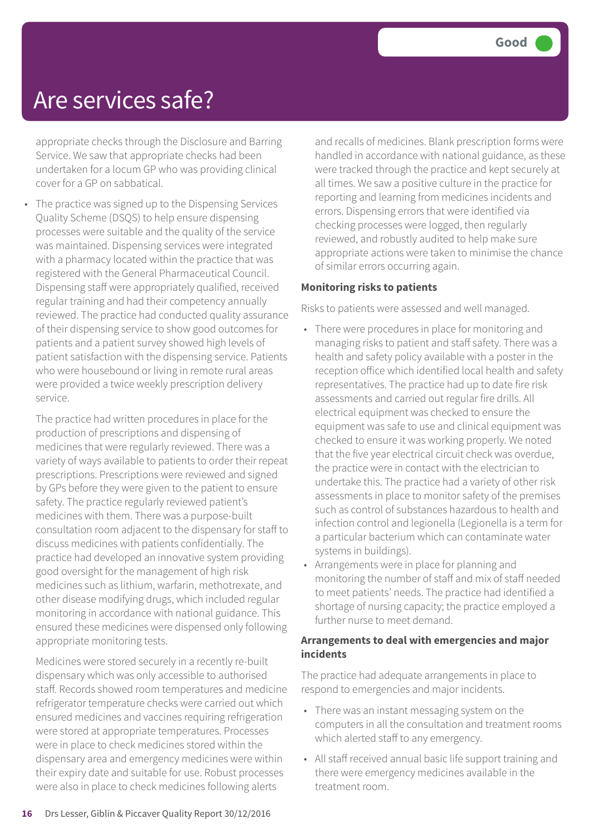### Are services safe?

appropriate checks through the Disclosure and Barring Service. We saw that appropriate checks had been undertaken for a locum GP who was providing clinical cover for a GP on sabbatical.

• The practice was signed up to the Dispensing Services Quality Scheme (DSQS) to help ensure dispensing processes were suitable and the quality of the service was maintained. Dispensing services were integrated with a pharmacy located within the practice that was registered with the General Pharmaceutical Council. Dispensing staff were appropriately qualified, received regular training and had their competency annually reviewed. The practice had conducted quality assurance of their dispensing service to show good outcomes for patients and a patient survey showed high levels of patient satisfaction with the dispensing service. Patients who were housebound or living in remote rural areas were provided a twice weekly prescription delivery service.

The practice had written procedures in place for the production of prescriptions and dispensing of medicines that were regularly reviewed. There was a variety of ways available to patients to order their repeat prescriptions. Prescriptions were reviewed and signed by GPs before they were given to the patient to ensure safety. The practice regularly reviewed patient's medicines with them. There was a purpose-built consultation room adjacent to the dispensary for staff to discuss medicines with patients confidentially. The practice had developed an innovative system providing good oversight for the management of high risk medicines such as lithium, warfarin, methotrexate, and other disease modifying drugs, which included regular monitoring in accordance with national guidance. This ensured these medicines were dispensed only following appropriate monitoring tests.

Medicines were stored securely in a recently re-built dispensary which was only accessible to authorised staff. Records showed room temperatures and medicine refrigerator temperature checks were carried out which ensured medicines and vaccines requiring refrigeration were stored at appropriate temperatures. Processes were in place to check medicines stored within the dispensary area and emergency medicines were within their expiry date and suitable for use. Robust processes were also in place to check medicines following alerts

and recalls of medicines. Blank prescription forms were handled in accordance with national guidance, as these were tracked through the practice and kept securely at all times. We saw a positive culture in the practice for reporting and learning from medicines incidents and errors. Dispensing errors that were identified via checking processes were logged, then regularly reviewed, and robustly audited to help make sure appropriate actions were taken to minimise the chance of similar errors occurring again.

#### **Monitoring risks to patients**

Risks to patients were assessed and well managed.

- There were procedures in place for monitoring and managing risks to patient and staff safety. There was a health and safety policy available with a poster in the reception office which identified local health and safety representatives. The practice had up to date fire risk assessments and carried out regular fire drills. All electrical equipment was checked to ensure the equipment was safe to use and clinical equipment was checked to ensure it was working properly. We noted that the five year electrical circuit check was overdue, the practice were in contact with the electrician to undertake this. The practice had a variety of other risk assessments in place to monitor safety of the premises such as control of substances hazardous to health and infection control and legionella (Legionella is a term for a particular bacterium which can contaminate water systems in buildings).
- Arrangements were in place for planning and monitoring the number of staff and mix of staff needed to meet patients' needs. The practice had identified a shortage of nursing capacity; the practice employed a further nurse to meet demand.

#### **Arrangements to deal with emergencies and major incidents**

The practice had adequate arrangements in place to respond to emergencies and major incidents.

- There was an instant messaging system on the computers in all the consultation and treatment rooms which alerted staff to any emergency.
- All staff received annual basic life support training and there were emergency medicines available in the treatment room.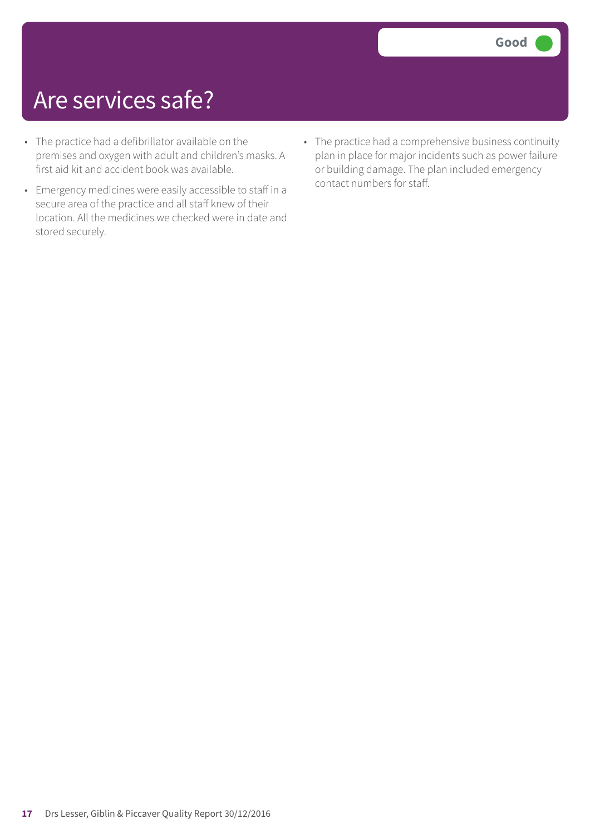### Are services safe?

- The practice had a defibrillator available on the premises and oxygen with adult and children's masks. A first aid kit and accident book was available.
- Emergency medicines were easily accessible to staff in a secure area of the practice and all staff knew of their location. All the medicines we checked were in date and stored securely.
- The practice had a comprehensive business continuity plan in place for major incidents such as power failure or building damage. The plan included emergency contact numbers for staff.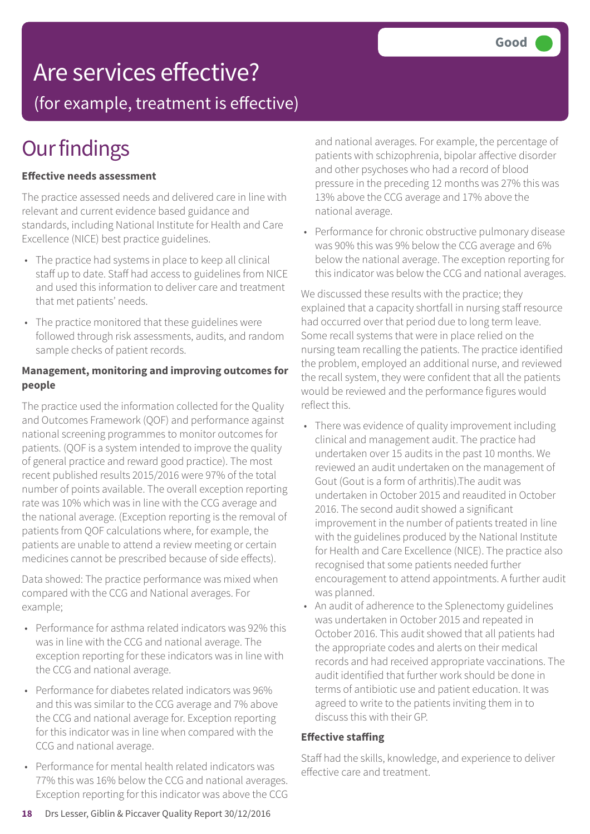### Are services effective?

(for example, treatment is effective)

### **Our findings**

#### **Effective needs assessment**

The practice assessed needs and delivered care in line with relevant and current evidence based guidance and standards, including National Institute for Health and Care Excellence (NICE) best practice guidelines.

- The practice had systems in place to keep all clinical staff up to date. Staff had access to guidelines from NICE and used this information to deliver care and treatment that met patients' needs.
- The practice monitored that these guidelines were followed through risk assessments, audits, and random sample checks of patient records.

#### **Management, monitoring and improving outcomes for people**

The practice used the information collected for the Quality and Outcomes Framework (QOF) and performance against national screening programmes to monitor outcomes for patients. (QOF is a system intended to improve the quality of general practice and reward good practice). The most recent published results 2015/2016 were 97% of the total number of points available. The overall exception reporting rate was 10% which was in line with the CCG average and the national average. (Exception reporting is the removal of patients from QOF calculations where, for example, the patients are unable to attend a review meeting or certain medicines cannot be prescribed because of side effects).

Data showed: The practice performance was mixed when compared with the CCG and National averages. For example;

- Performance for asthma related indicators was 92% this was in line with the CCG and national average. The exception reporting for these indicators was in line with the CCG and national average.
- Performance for diabetes related indicators was 96% and this was similar to the CCG average and 7% above the CCG and national average for. Exception reporting for this indicator was in line when compared with the CCG and national average.
- Performance for mental health related indicators was 77% this was 16% below the CCG and national averages. Exception reporting for this indicator was above the CCG

and national averages. For example, the percentage of patients with schizophrenia, bipolar affective disorder and other psychoses who had a record of blood pressure in the preceding 12 months was 27% this was 13% above the CCG average and 17% above the national average.

• Performance for chronic obstructive pulmonary disease was 90% this was 9% below the CCG average and 6% below the national average. The exception reporting for this indicator was below the CCG and national averages.

We discussed these results with the practice; they explained that a capacity shortfall in nursing staff resource had occurred over that period due to long term leave. Some recall systems that were in place relied on the nursing team recalling the patients. The practice identified the problem, employed an additional nurse, and reviewed the recall system, they were confident that all the patients would be reviewed and the performance figures would reflect this.

- There was evidence of quality improvement including clinical and management audit. The practice had undertaken over 15 audits in the past 10 months. We reviewed an audit undertaken on the management of Gout (Gout is a form of arthritis).The audit was undertaken in October 2015 and reaudited in October 2016. The second audit showed a significant improvement in the number of patients treated in line with the guidelines produced by the National Institute for Health and Care Excellence (NICE). The practice also recognised that some patients needed further encouragement to attend appointments. A further audit was planned.
- An audit of adherence to the Splenectomy guidelines was undertaken in October 2015 and repeated in October 2016. This audit showed that all patients had the appropriate codes and alerts on their medical records and had received appropriate vaccinations. The audit identified that further work should be done in terms of antibiotic use and patient education. It was agreed to write to the patients inviting them in to discuss this with their GP.

#### **Effective staffing**

Staff had the skills, knowledge, and experience to deliver effective care and treatment.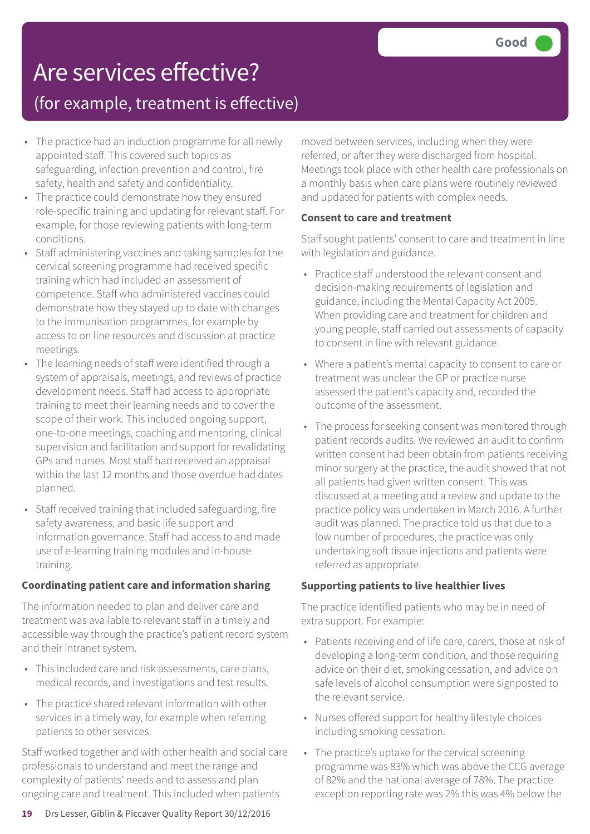### Are services effective?

### (for example, treatment is effective)

- The practice had an induction programme for all newly appointed staff. This covered such topics as safeguarding, infection prevention and control, fire safety, health and safety and confidentiality.
- The practice could demonstrate how they ensured role-specific training and updating for relevant staff. For example, for those reviewing patients with long-term conditions.
- Staff administering vaccines and taking samples for the cervical screening programme had received specific training which had included an assessment of competence. Staff who administered vaccines could demonstrate how they stayed up to date with changes to the immunisation programmes, for example by access to on line resources and discussion at practice meetings.
- The learning needs of staff were identified through a system of appraisals, meetings, and reviews of practice development needs. Staff had access to appropriate training to meet their learning needs and to cover the scope of their work. This included ongoing support, one-to-one meetings, coaching and mentoring, clinical supervision and facilitation and support for revalidating GPs and nurses. Most staff had received an appraisal within the last 12 months and those overdue had dates planned.
- Staff received training that included safeguarding, fire safety awareness, and basic life support and information governance. Staff had access to and made use of e-learning training modules and in-house training.

#### **Coordinating patient care and information sharing**

The information needed to plan and deliver care and treatment was available to relevant staff in a timely and accessible way through the practice's patient record system and their intranet system.

- This included care and risk assessments, care plans, medical records, and investigations and test results.
- The practice shared relevant information with other services in a timely way, for example when referring patients to other services.

Staff worked together and with other health and social care professionals to understand and meet the range and complexity of patients' needs and to assess and plan ongoing care and treatment. This included when patients

**19** Drs Lesser, Giblin & Piccaver Quality Report 30/12/2016

moved between services, including when they were referred, or after they were discharged from hospital. Meetings took place with other health care professionals on a monthly basis when care plans were routinely reviewed and updated for patients with complex needs.

#### **Consent to care and treatment**

Staff sought patients' consent to care and treatment in line with legislation and guidance.

- Practice staff understood the relevant consent and decision-making requirements of legislation and guidance, including the Mental Capacity Act 2005. When providing care and treatment for children and young people, staff carried out assessments of capacity to consent in line with relevant guidance.
- Where a patient's mental capacity to consent to care or treatment was unclear the GP or practice nurse assessed the patient's capacity and, recorded the outcome of the assessment.
- The process for seeking consent was monitored through patient records audits. We reviewed an audit to confirm written consent had been obtain from patients receiving minor surgery at the practice, the audit showed that not all patients had given written consent. This was discussed at a meeting and a review and update to the practice policy was undertaken in March 2016. A further audit was planned. The practice told us that due to a low number of procedures, the practice was only undertaking soft tissue injections and patients were referred as appropriate.

#### **Supporting patients to live healthier lives**

The practice identified patients who may be in need of extra support. For example:

- Patients receiving end of life care, carers, those at risk of developing a long-term condition, and those requiring advice on their diet, smoking cessation, and advice on safe levels of alcohol consumption were signposted to the relevant service.
- Nurses offered support for healthy lifestyle choices including smoking cessation.
- The practice's uptake for the cervical screening programme was 83% which was above the CCG average of 82% and the national average of 78%. The practice exception reporting rate was 2% this was 4% below the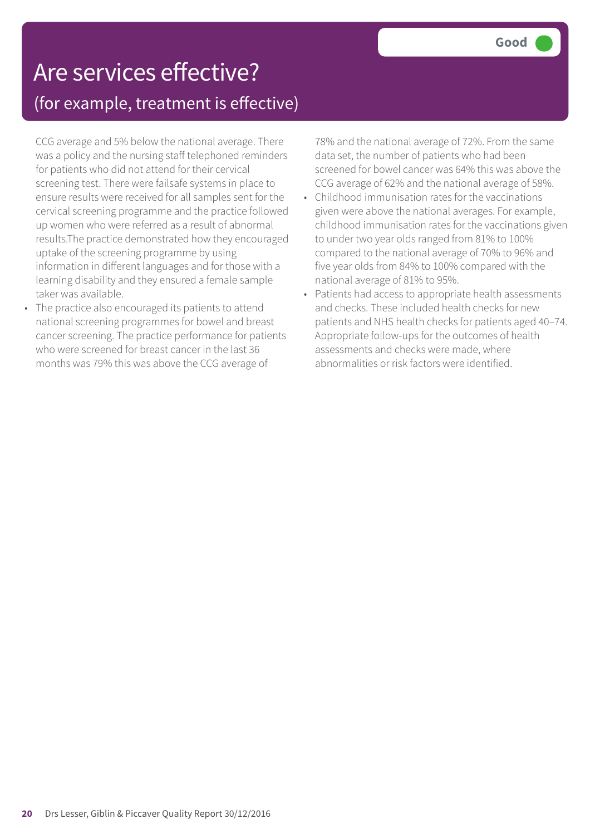### Are services effective? (for example, treatment is effective)

CCG average and 5% below the national average. There was a policy and the nursing staff telephoned reminders for patients who did not attend for their cervical screening test. There were failsafe systems in place to ensure results were received for all samples sent for the cervical screening programme and the practice followed up women who were referred as a result of abnormal results.The practice demonstrated how they encouraged uptake of the screening programme by using information in different languages and for those with a learning disability and they ensured a female sample taker was available.

The practice also encouraged its patients to attend national screening programmes for bowel and breast cancer screening. The practice performance for patients who were screened for breast cancer in the last 36 months was 79% this was above the CCG average of

78% and the national average of 72%. From the same data set, the number of patients who had been screened for bowel cancer was 64% this was above the CCG average of 62% and the national average of 58%.

- Childhood immunisation rates for the vaccinations given were above the national averages. For example, childhood immunisation rates for the vaccinations given to under two year olds ranged from 81% to 100% compared to the national average of 70% to 96% and five year olds from 84% to 100% compared with the national average of 81% to 95%.
- Patients had access to appropriate health assessments and checks. These included health checks for new patients and NHS health checks for patients aged 40–74. Appropriate follow-ups for the outcomes of health assessments and checks were made, where abnormalities or risk factors were identified.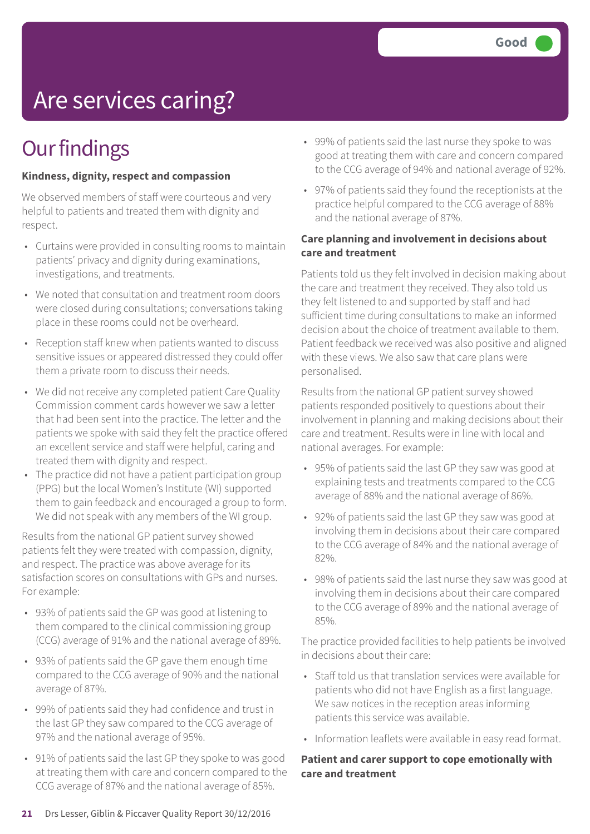## Are services caring?

### **Our findings**

#### **Kindness, dignity, respect and compassion**

We observed members of staff were courteous and very helpful to patients and treated them with dignity and respect.

- Curtains were provided in consulting rooms to maintain patients' privacy and dignity during examinations, investigations, and treatments.
- We noted that consultation and treatment room doors were closed during consultations; conversations taking place in these rooms could not be overheard.
- Reception staff knew when patients wanted to discuss sensitive issues or appeared distressed they could offer them a private room to discuss their needs.
- We did not receive any completed patient Care Quality Commission comment cards however we saw a letter that had been sent into the practice. The letter and the patients we spoke with said they felt the practice offered an excellent service and staff were helpful, caring and treated them with dignity and respect.
- The practice did not have a patient participation group (PPG) but the local Women's Institute (WI) supported them to gain feedback and encouraged a group to form. We did not speak with any members of the WI group.

Results from the national GP patient survey showed patients felt they were treated with compassion, dignity, and respect. The practice was above average for its satisfaction scores on consultations with GPs and nurses. For example:

- 93% of patients said the GP was good at listening to them compared to the clinical commissioning group (CCG) average of 91% and the national average of 89%.
- 93% of patients said the GP gave them enough time compared to the CCG average of 90% and the national average of 87%.
- 99% of patients said they had confidence and trust in the last GP they saw compared to the CCG average of 97% and the national average of 95%.
- 91% of patients said the last GP they spoke to was good at treating them with care and concern compared to the CCG average of 87% and the national average of 85%.
- 99% of patients said the last nurse they spoke to was good at treating them with care and concern compared to the CCG average of 94% and national average of 92%.
- 97% of patients said they found the receptionists at the practice helpful compared to the CCG average of 88% and the national average of 87%.

#### **Care planning and involvement in decisions about care and treatment**

Patients told us they felt involved in decision making about the care and treatment they received. They also told us they felt listened to and supported by staff and had sufficient time during consultations to make an informed decision about the choice of treatment available to them. Patient feedback we received was also positive and aligned with these views. We also saw that care plans were personalised.

Results from the national GP patient survey showed patients responded positively to questions about their involvement in planning and making decisions about their care and treatment. Results were in line with local and national averages. For example:

- 95% of patients said the last GP they saw was good at explaining tests and treatments compared to the CCG average of 88% and the national average of 86%.
- 92% of patients said the last GP they saw was good at involving them in decisions about their care compared to the CCG average of 84% and the national average of 82%.
- 98% of patients said the last nurse they saw was good at involving them in decisions about their care compared to the CCG average of 89% and the national average of 85%.

The practice provided facilities to help patients be involved in decisions about their care:

- Staff told us that translation services were available for patients who did not have English as a first language. We saw notices in the reception areas informing patients this service was available.
- Information leaflets were available in easy read format.

#### **Patient and carer support to cope emotionally with care and treatment**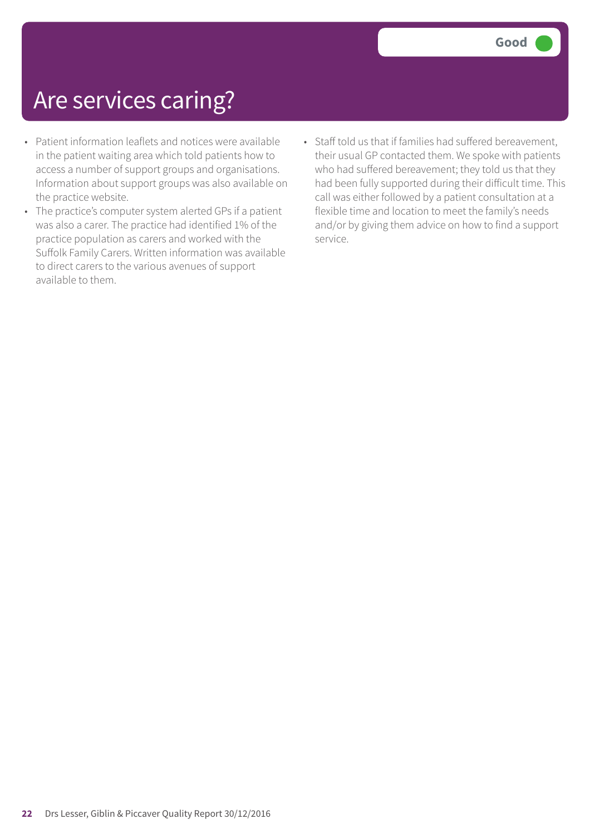## Are services caring?

- Patient information leaflets and notices were available in the patient waiting area which told patients how to access a number of support groups and organisations. Information about support groups was also available on the practice website.
- The practice's computer system alerted GPs if a patient was also a carer. The practice had identified 1% of the practice population as carers and worked with the Suffolk Family Carers. Written information was available to direct carers to the various avenues of support available to them.
- Staff told us that if families had suffered bereavement, their usual GP contacted them. We spoke with patients who had suffered bereavement; they told us that they had been fully supported during their difficult time. This call was either followed by a patient consultation at a flexible time and location to meet the family's needs and/or by giving them advice on how to find a support service.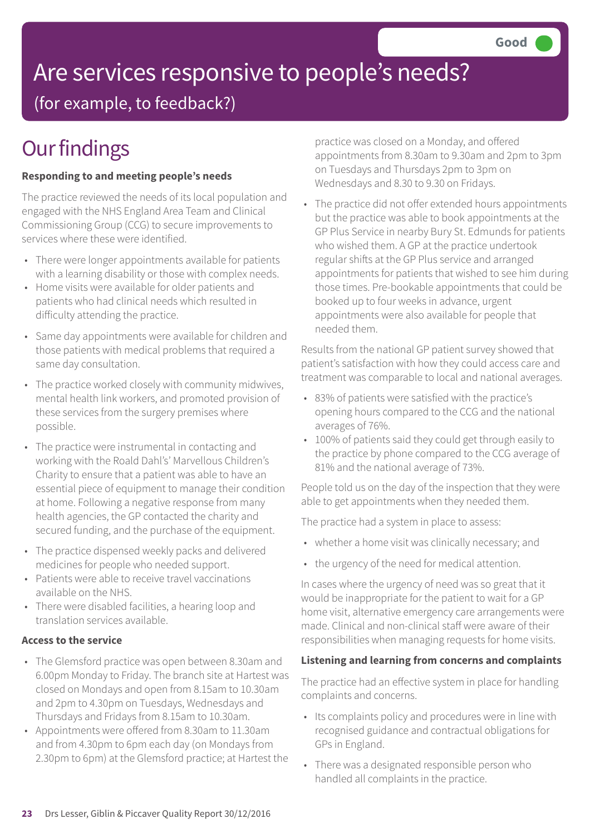## Are services responsive to people's needs?

(for example, to feedback?)

## **Our findings**

#### **Responding to and meeting people's needs**

The practice reviewed the needs of its local population and engaged with the NHS England Area Team and Clinical Commissioning Group (CCG) to secure improvements to services where these were identified.

- There were longer appointments available for patients with a learning disability or those with complex needs.
- Home visits were available for older patients and patients who had clinical needs which resulted in difficulty attending the practice.
- Same day appointments were available for children and those patients with medical problems that required a same day consultation.
- The practice worked closely with community midwives, mental health link workers, and promoted provision of these services from the surgery premises where possible.
- The practice were instrumental in contacting and working with the Roald Dahl's' Marvellous Children's Charity to ensure that a patient was able to have an essential piece of equipment to manage their condition at home. Following a negative response from many health agencies, the GP contacted the charity and secured funding, and the purchase of the equipment.
- The practice dispensed weekly packs and delivered medicines for people who needed support.
- Patients were able to receive travel vaccinations available on the NHS.
- There were disabled facilities, a hearing loop and translation services available.

#### **Access to the service**

- The Glemsford practice was open between 8.30am and 6.00pm Monday to Friday. The branch site at Hartest was closed on Mondays and open from 8.15am to 10.30am and 2pm to 4.30pm on Tuesdays, Wednesdays and Thursdays and Fridays from 8.15am to 10.30am.
- Appointments were offered from 8.30am to 11.30am and from 4.30pm to 6pm each day (on Mondays from 2.30pm to 6pm) at the Glemsford practice; at Hartest the

practice was closed on a Monday, and offered appointments from 8.30am to 9.30am and 2pm to 3pm on Tuesdays and Thursdays 2pm to 3pm on Wednesdays and 8.30 to 9.30 on Fridays.

• The practice did not offer extended hours appointments but the practice was able to book appointments at the GP Plus Service in nearby Bury St. Edmunds for patients who wished them. A GP at the practice undertook regular shifts at the GP Plus service and arranged appointments for patients that wished to see him during those times. Pre-bookable appointments that could be booked up to four weeks in advance, urgent appointments were also available for people that needed them.

Results from the national GP patient survey showed that patient's satisfaction with how they could access care and treatment was comparable to local and national averages.

- 83% of patients were satisfied with the practice's opening hours compared to the CCG and the national averages of 76%.
- 100% of patients said they could get through easily to the practice by phone compared to the CCG average of 81% and the national average of 73%.

People told us on the day of the inspection that they were able to get appointments when they needed them.

The practice had a system in place to assess:

- whether a home visit was clinically necessary; and
- the urgency of the need for medical attention.

In cases where the urgency of need was so great that it would be inappropriate for the patient to wait for a GP home visit, alternative emergency care arrangements were made. Clinical and non-clinical staff were aware of their responsibilities when managing requests for home visits.

#### **Listening and learning from concerns and complaints**

The practice had an effective system in place for handling complaints and concerns.

- Its complaints policy and procedures were in line with recognised guidance and contractual obligations for GPs in England.
- There was a designated responsible person who handled all complaints in the practice.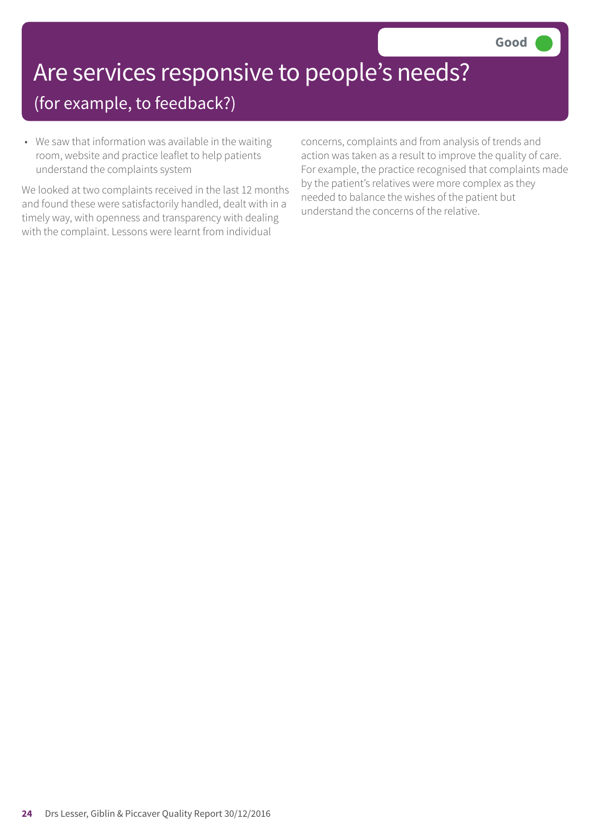## Are services responsive to people's needs?

### (for example, to feedback?)

• We saw that information was available in the waiting room, website and practice leaflet to help patients understand the complaints system

We looked at two complaints received in the last 12 months and found these were satisfactorily handled, dealt with in a timely way, with openness and transparency with dealing with the complaint. Lessons were learnt from individual

concerns, complaints and from analysis of trends and action was taken as a result to improve the quality of care. For example, the practice recognised that complaints made by the patient's relatives were more complex as they needed to balance the wishes of the patient but understand the concerns of the relative.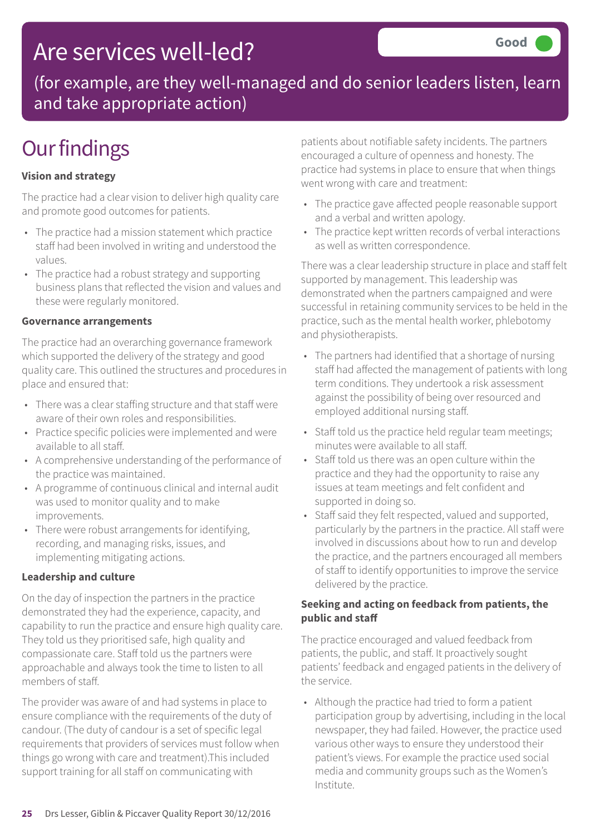### Are services well-led?

(for example, are they well-managed and do senior leaders listen, learn and take appropriate action)

## **Our findings**

#### **Vision and strategy**

The practice had a clear vision to deliver high quality care and promote good outcomes for patients.

- The practice had a mission statement which practice staff had been involved in writing and understood the values.
- The practice had a robust strategy and supporting business plans that reflected the vision and values and these were regularly monitored.

#### **Governance arrangements**

The practice had an overarching governance framework which supported the delivery of the strategy and good quality care. This outlined the structures and procedures in place and ensured that:

- There was a clear staffing structure and that staff were aware of their own roles and responsibilities.
- Practice specific policies were implemented and were available to all staff.
- A comprehensive understanding of the performance of the practice was maintained.
- A programme of continuous clinical and internal audit was used to monitor quality and to make improvements.
- There were robust arrangements for identifying, recording, and managing risks, issues, and implementing mitigating actions.

#### **Leadership and culture**

On the day of inspection the partners in the practice demonstrated they had the experience, capacity, and capability to run the practice and ensure high quality care. They told us they prioritised safe, high quality and compassionate care. Staff told us the partners were approachable and always took the time to listen to all members of staff.

The provider was aware of and had systems in place to ensure compliance with the requirements of the duty of candour. (The duty of candour is a set of specific legal requirements that providers of services must follow when things go wrong with care and treatment).This included support training for all staff on communicating with

patients about notifiable safety incidents. The partners encouraged a culture of openness and honesty. The practice had systems in place to ensure that when things went wrong with care and treatment:

- The practice gave affected people reasonable support and a verbal and written apology.
- The practice kept written records of verbal interactions as well as written correspondence.

There was a clear leadership structure in place and staff felt supported by management. This leadership was demonstrated when the partners campaigned and were successful in retaining community services to be held in the practice, such as the mental health worker, phlebotomy and physiotherapists.

- The partners had identified that a shortage of nursing staff had affected the management of patients with long term conditions. They undertook a risk assessment against the possibility of being over resourced and employed additional nursing staff.
- Staff told us the practice held regular team meetings; minutes were available to all staff.
- Staff told us there was an open culture within the practice and they had the opportunity to raise any issues at team meetings and felt confident and supported in doing so.
- Staff said they felt respected, valued and supported, particularly by the partners in the practice. All staff were involved in discussions about how to run and develop the practice, and the partners encouraged all members of staff to identify opportunities to improve the service delivered by the practice.

#### **Seeking and acting on feedback from patients, the public and staff**

The practice encouraged and valued feedback from patients, the public, and staff. It proactively sought patients' feedback and engaged patients in the delivery of the service.

• Although the practice had tried to form a patient participation group by advertising, including in the local newspaper, they had failed. However, the practice used various other ways to ensure they understood their patient's views. For example the practice used social media and community groups such as the Women's Institute.